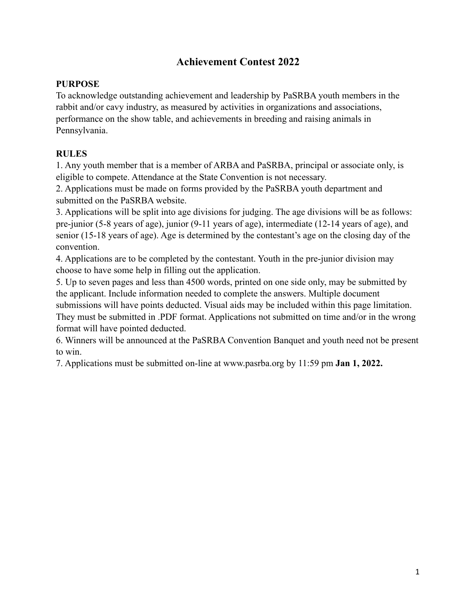# **Achievement Contest 2022**

#### **PURPOSE**

To acknowledge outstanding achievement and leadership by PaSRBA youth members in the rabbit and/or cavy industry, as measured by activities in organizations and associations, performance on the show table, and achievements in breeding and raising animals in Pennsylvania.

### **RULES**

1. Any youth member that is a member of ARBA and PaSRBA, principal or associate only, is eligible to compete. Attendance at the State Convention is not necessary.

2. Applications must be made on forms provided by the PaSRBA youth department and submitted on the PaSRBA website.

3. Applications will be split into age divisions for judging. The age divisions will be as follows: pre-junior (5-8 years of age), junior (9-11 years of age), intermediate (12-14 years of age), and senior (15-18 years of age). Age is determined by the contestant's age on the closing day of the convention.

4. Applications are to be completed by the contestant. Youth in the pre-junior division may choose to have some help in filling out the application.

5. Up to seven pages and less than 4500 words, printed on one side only, may be submitted by the applicant. Include information needed to complete the answers. Multiple document submissions will have points deducted. Visual aids may be included within this page limitation. They must be submitted in .PDF format. Applications not submitted on time and/or in the wrong format will have pointed deducted.

6. Winners will be announced at the PaSRBA Convention Banquet and youth need not be present to win.

7. Applications must be submitted on-line at www.pasrba.org by 11:59 pm **Jan 1, 2022.**